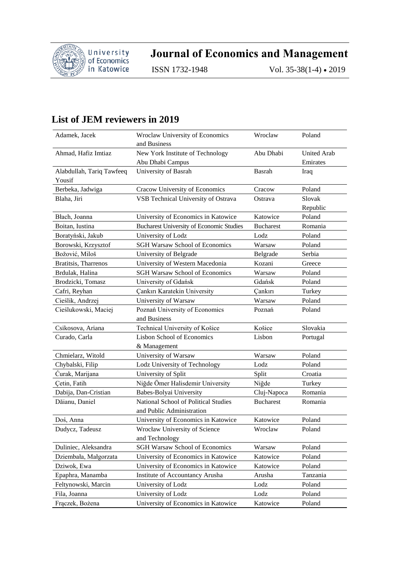

**Journal of Economics and Management**

ISSN 1732-1948 Vol. 35-38(1-4) • 2019

## **List of JEM reviewers in 2019**

| Adamek, Jacek             | Wroclaw University of Economics<br>and Business | Wroclaw          | Poland             |
|---------------------------|-------------------------------------------------|------------------|--------------------|
| Ahmad, Hafiz Imtiaz       | New York Institute of Technology                | Abu Dhabi        | <b>United Arab</b> |
|                           | Abu Dhabi Campus                                |                  | Emirates           |
| Alabdullah, Tariq Tawfeeq | University of Basrah                            | Basrah           | Iraq               |
| Yousif                    |                                                 |                  |                    |
| Berbeka, Jadwiga          | Cracow University of Economics                  | Cracow           | Poland             |
| Blaha, Jiri               | VSB Technical University of Ostrava             | Ostrava          | Slovak             |
|                           |                                                 |                  | Republic           |
| Błach, Joanna             | University of Economics in Katowice             | Katowice         | Poland             |
| Boitan, Iustina           | Bucharest University of Economic Studies        | <b>Bucharest</b> | Romania            |
| Boratyński, Jakub         | University of Lodz                              | Lodz             | Poland             |
| Borowski, Krzysztof       | <b>SGH Warsaw School of Economics</b>           | Warsaw           | Poland             |
| Božović, Miloš            | University of Belgrade                          | Belgrade         | Serbia             |
| Bratitsis, Tharrenos      | University of Western Macedonia                 | Kozani           | Greece             |
| Brdulak, Halina           | <b>SGH Warsaw School of Economics</b>           | Warsaw           | Poland             |
| Brodzicki, Tomasz         | University of Gdańsk                            | Gdańsk           | Poland             |
| Cafri, Reyhan             | Çankırı Karatekin University                    | Çankırı          | Turkey             |
| Cieślik, Andrzej          | University of Warsaw                            | Warsaw           | Poland             |
| Cieślukowski, Maciej      | Poznań University of Economics                  | Poznań           | Poland             |
|                           | and Business                                    |                  |                    |
| Csikosova, Ariana         | Technical University of Košice                  | Košice           | Slovakia           |
| Curado, Carla             | <b>Lisbon School of Economics</b>               | Lisbon           | Portugal           |
|                           | & Management                                    |                  |                    |
| Chmielarz, Witold         | University of Warsaw                            | Warsaw           | Poland             |
| Chybalski, Filip          | Lodz University of Technology                   | Lodz             | Poland             |
| Curak, Marijana           | University of Split                             | Split            | Croatia            |
| Cetin, Fatih              | Niğde Ömer Halisdemir University                | Niğde            | Turkey             |
| Dabija, Dan-Cristian      | Babes-Bolyai University                         | Cluj-Napoca      | Romania            |
| Dăianu, Daniel            | National School of Political Studies            | <b>Bucharest</b> | Romania            |
|                           | and Public Administration                       |                  |                    |
| Doś, Anna                 | University of Economics in Katowice             | Katowice         | Poland             |
| Dudycz, Tadeusz           | Wrocław University of Science                   | Wroclaw          | Poland             |
|                           | and Technology                                  |                  |                    |
| Duliniec, Aleksandra      | <b>SGH Warsaw School of Economics</b>           | Warsaw           | Poland             |
| Dziembała, Małgorzata     | University of Economics in Katowice             | Katowice         | Poland             |
| Dziwok, Ewa               | University of Economics in Katowice             | Katowice         | Poland             |
| Epaphra, Manamba          | Institute of Accountancy Arusha                 | Arusha           | Tanzania           |
| Feltynowski, Marcin       | University of Lodz                              | Lodz             | Poland             |
| Fila, Joanna              | University of Lodz                              | Lodz             | Poland             |
| Fraczek, Bożena           | University of Economics in Katowice             | Katowice         | Poland             |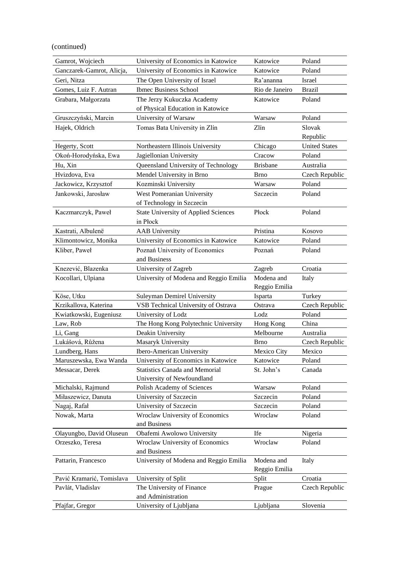(continued)

| Gamrot, Wojciech          | University of Economics in Katowice                                 | Katowice        | Poland               |
|---------------------------|---------------------------------------------------------------------|-----------------|----------------------|
| Ganczarek-Gamrot, Alicja, | University of Economics in Katowice                                 | Katowice        | Poland               |
| Geri, Nitza               | The Open University of Israel                                       | Ra'ananna       | Israel               |
| Gomes, Luiz F. Autran     | <b>Ibmec Business School</b>                                        | Rio de Janeiro  | <b>Brazil</b>        |
| Grabara, Małgorzata       | The Jerzy Kukuczka Academy                                          | Katowice        | Poland               |
|                           | of Physical Education in Katowice                                   |                 |                      |
| Gruszczyński, Marcin      | University of Warsaw                                                | Warsaw          | Poland               |
| Hajek, Oldrich            | Tomas Bata University in Zlín                                       | Zlín            | Slovak               |
|                           |                                                                     |                 | Republic             |
| Hegerty, Scott            | Northeastern Illinois University                                    | Chicago         | <b>United States</b> |
| Okoń-Horodyńska, Ewa      | Jagiellonian University                                             | Cracow          | Poland               |
| Hu, Xin                   | Queensland University of Technology                                 | <b>Brisbane</b> | Australia            |
| Hvizdova, Eva             | Mendel University in Brno                                           | Brno            | Czech Republic       |
| Jackowicz, Krzysztof      | Kozminski University                                                | Warsaw          | Poland               |
| Jankowski, Jarosław       | West Pomeranian University                                          | Szczecin        | Poland               |
|                           | of Technology in Szczecin                                           |                 |                      |
| Kaczmarczyk, Paweł        | <b>State University of Applied Sciences</b>                         | Płock           | Poland               |
|                           | in Płock                                                            |                 |                      |
| Kastrati, Albulenë        | <b>AAB</b> University                                               | Pristina        | Kosovo               |
| Klimontowicz, Monika      | University of Economics in Katowice                                 | Katowice        | Poland               |
| Kliber, Paweł             | Poznań University of Economics                                      | Poznań          | Poland               |
|                           | and Business                                                        |                 |                      |
| Knezević, Blazenka        | University of Zagreb                                                | Zagreb          | Croatia              |
| Kocollari, Ulpiana        | University of Modena and Reggio Emilia                              | Modena and      | Italy                |
|                           |                                                                     | Reggio Emilia   |                      |
| Köse, Utku                | Suleyman Demirel University                                         | Isparta         | Turkey               |
| Krzikallova, Katerina     | VSB Technical University of Ostrava                                 | Ostrava         | Czech Republic       |
| Kwiatkowski, Eugeniusz    | University of Lodz                                                  | Lodz            | Poland               |
| Law, Rob                  | The Hong Kong Polytechnic University                                | Hong Kong       | China                |
| Li, Gang                  | Deakin University                                                   | Melbourne       | Australia            |
| Lukášová, Růžena          | Masaryk University                                                  | Brno            | Czech Republic       |
| Lundberg, Hans            | Ibero-American University                                           | Mexico City     | Mexico               |
| Maruszewska, Ewa Wanda    | University of Economics in Katowice                                 | Katowice        | Poland               |
| Messacar, Derek           | <b>Statistics Canada and Memorial</b><br>University of Newfoundland | St. John's      | Canada               |
| Michalski, Rajmund        | Polish Academy of Sciences                                          | Warsaw          | Poland               |
| Miłaszewicz, Danuta       | University of Szczecin                                              | Szczecin        | Poland               |
| Nagaj, Rafał              | University of Szczecin                                              | Szczecin        | Poland               |
| Nowak, Marta              | Wroclaw University of Economics                                     | Wroclaw         | Poland               |
|                           | and Business                                                        |                 |                      |
| Olayungbo, David Oluseun  | Obafemi Awolowo University                                          | Ife             | Nigeria              |
| Orzeszko, Teresa          | Wroclaw University of Economics                                     | Wroclaw         | Poland               |
|                           | and Business                                                        |                 |                      |
| Pattarin, Francesco       | University of Modena and Reggio Emilia                              | Modena and      | Italy                |
|                           |                                                                     | Reggio Emilia   |                      |
| Pavić Kramarić, Tomislava | University of Split                                                 | Split           | Croatia              |
| Pavlát, Vladislav         | The University of Finance                                           | Prague          | Czech Republic       |
|                           | and Administration                                                  |                 |                      |
| Pfajfar, Gregor           | University of Ljubljana                                             | Ljubljana       | Slovenia             |